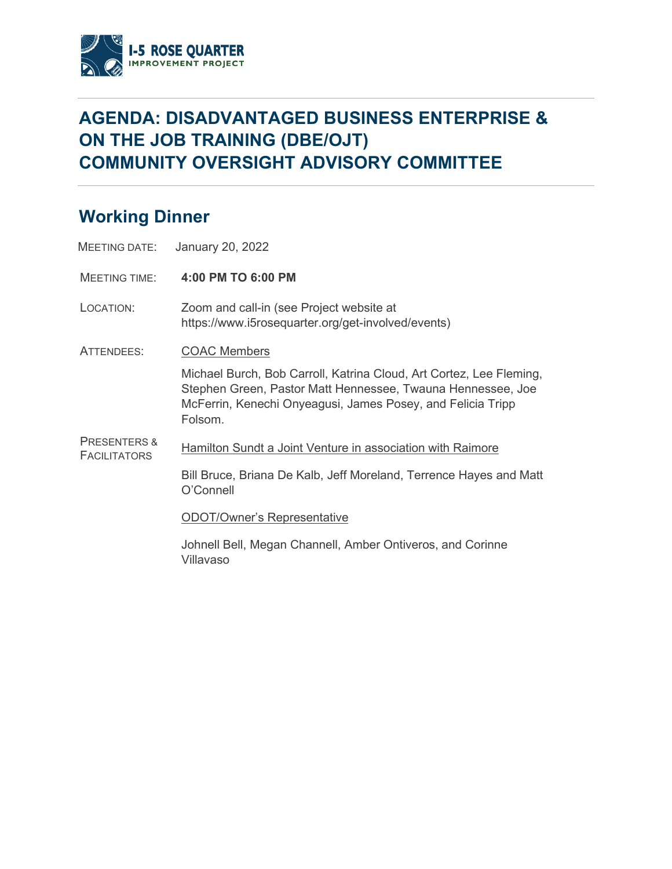

## **AGENDA: DISADVANTAGED BUSINESS ENTERPRISE & ON THE JOB TRAINING (DBE/OJT) COMMUNITY OVERSIGHT ADVISORY COMMITTEE**

## **Working Dinner**

|                                                | MEETING DATE: January 20, 2022                                                                                                                                                                               |
|------------------------------------------------|--------------------------------------------------------------------------------------------------------------------------------------------------------------------------------------------------------------|
| MEETING TIME:                                  | 4:00 PM TO 6:00 PM                                                                                                                                                                                           |
| LOCATION:                                      | Zoom and call-in (see Project website at<br>https://www.i5rosequarter.org/get-involved/events)                                                                                                               |
| ATTENDEES:                                     | <b>COAC Members</b>                                                                                                                                                                                          |
|                                                | Michael Burch, Bob Carroll, Katrina Cloud, Art Cortez, Lee Fleming,<br>Stephen Green, Pastor Matt Hennessee, Twauna Hennessee, Joe<br>McFerrin, Kenechi Onyeagusi, James Posey, and Felicia Tripp<br>Folsom. |
| <b>PRESENTERS &amp;</b><br><b>FACILITATORS</b> | Hamilton Sundt a Joint Venture in association with Raimore                                                                                                                                                   |
|                                                | Bill Bruce, Briana De Kalb, Jeff Moreland, Terrence Hayes and Matt<br>O'Connell                                                                                                                              |
|                                                | <b>ODOT/Owner's Representative</b>                                                                                                                                                                           |
|                                                | Johnell Bell, Megan Channell, Amber Ontiveros, and Corinne<br>Villavaso                                                                                                                                      |